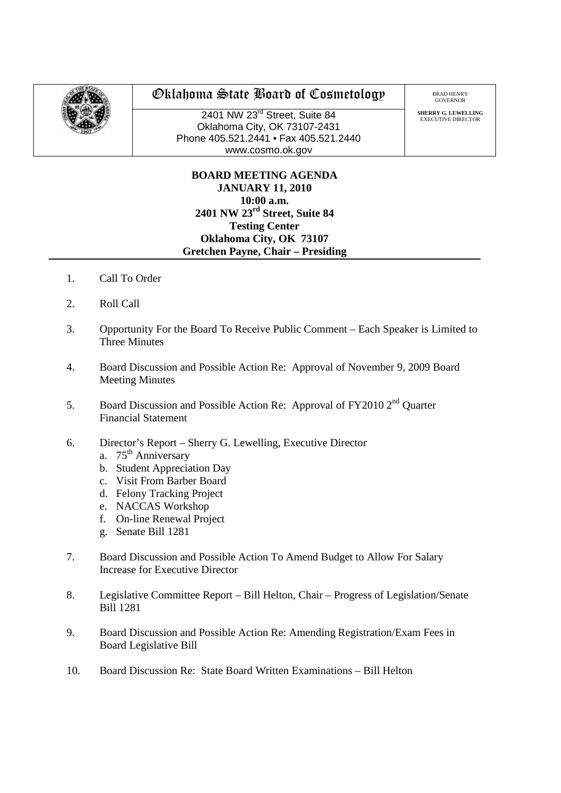

## Oklahoma State Board of Cosmetology

2401 NW 23<sup>rd</sup> Street, Suite 84 Oklahoma City, OK 73107-2431 Phone 405.521.2441 • Fax 405.521.2440 www.cosmo.ok.gov

BRAD HENRY GOVERNO

**SHERRY G. LEWELLING** EXECUTIVE DIRECTOR

## **BOARD MEETING AGENDA JANUARY 11, 2010 10:00 a.m. 2401 NW 23rd Street, Suite 84 Testing Center Oklahoma City, OK 73107 Gretchen Payne, Chair – Presiding**

- 1. Call To Order
- 2. Roll Call
- 3. Opportunity For the Board To Receive Public Comment Each Speaker is Limited to Three Minutes
- 4. Board Discussion and Possible Action Re: Approval of November 9, 2009 Board Meeting Minutes
- 5. Board Discussion and Possible Action Re: Approval of FY2010 2<sup>nd</sup> Quarter Financial Statement
- 6. Director's Report Sherry G. Lewelling, Executive Director
	- a. 75<sup>th</sup> Anniversary
	- b. Student Appreciation Day
	- c. Visit From Barber Board
	- d. Felony Tracking Project
	- e. NACCAS Workshop
	- f. On-line Renewal Project
	- g. Senate Bill 1281
- 7. Board Discussion and Possible Action To Amend Budget to Allow For Salary Increase for Executive Director
- 8. Legislative Committee Report Bill Helton, Chair Progress of Legislation/Senate Bill 1281
- 9. Board Discussion and Possible Action Re: Amending Registration/Exam Fees in Board Legislative Bill
- 10. Board Discussion Re: State Board Written Examinations Bill Helton